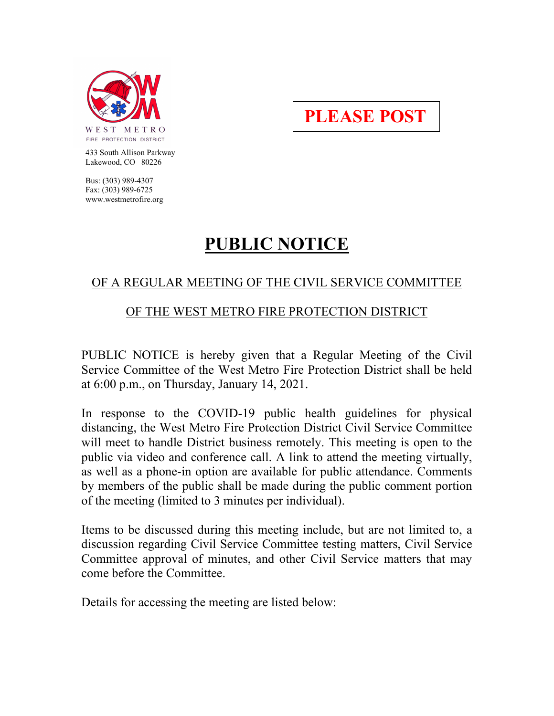

**PLEASE POST**

 433 South Allison Parkway Lakewood, CO 80226

 Bus: (303) 989-4307 Fax: (303) 989-6725 www.westmetrofire.org

# **PUBLIC NOTICE**

## OF A REGULAR MEETING OF THE CIVIL SERVICE COMMITTEE

### OF THE WEST METRO FIRE PROTECTION DISTRICT

PUBLIC NOTICE is hereby given that a Regular Meeting of the Civil Service Committee of the West Metro Fire Protection District shall be held at 6:00 p.m., on Thursday, January 14, 2021.

In response to the COVID-19 public health guidelines for physical distancing, the West Metro Fire Protection District Civil Service Committee will meet to handle District business remotely. This meeting is open to the public via video and conference call. A link to attend the meeting virtually, as well as a phone-in option are available for public attendance. Comments by members of the public shall be made during the public comment portion of the meeting (limited to 3 minutes per individual).

Items to be discussed during this meeting include, but are not limited to, a discussion regarding Civil Service Committee testing matters, Civil Service Committee approval of minutes, and other Civil Service matters that may come before the Committee.

Details for accessing the meeting are listed below: